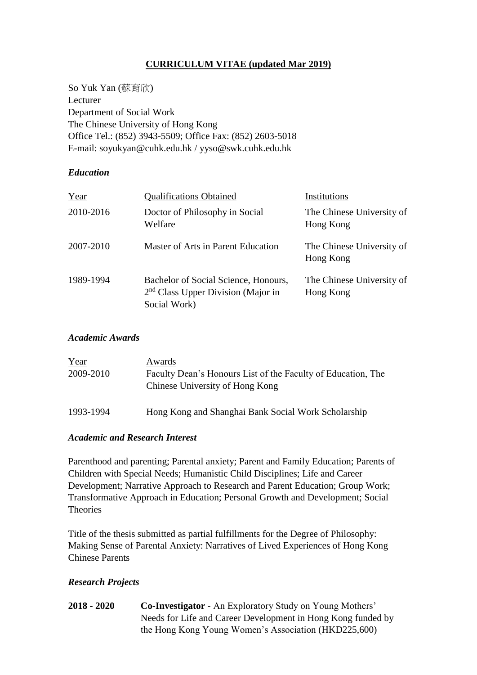# **CURRICULUM VITAE (updated Mar 2019)**

So Yuk Yan (蘇育欣) Lecturer Department of Social Work The Chinese University of Hong Kong Office Tel.: (852) 3943-5509; Office Fax: (852) 2603-5018 E-mail: soyukyan@cuhk.edu.hk / yyso@swk.cuhk.edu.hk

## *Education*

| Year      | <b>Qualifications Obtained</b>                                                                         | Institutions                           |
|-----------|--------------------------------------------------------------------------------------------------------|----------------------------------------|
| 2010-2016 | Doctor of Philosophy in Social<br>Welfare                                                              | The Chinese University of<br>Hong Kong |
| 2007-2010 | Master of Arts in Parent Education                                                                     | The Chinese University of<br>Hong Kong |
| 1989-1994 | Bachelor of Social Science, Honours,<br>2 <sup>nd</sup> Class Upper Division (Major in<br>Social Work) | The Chinese University of<br>Hong Kong |

## *Academic Awards*

| Year      | Awards                                                                                          |
|-----------|-------------------------------------------------------------------------------------------------|
| 2009-2010 | Faculty Dean's Honours List of the Faculty of Education, The<br>Chinese University of Hong Kong |
| 1993-1994 | Hong Kong and Shanghai Bank Social Work Scholarship                                             |

#### *Academic and Research Interest*

Parenthood and parenting; Parental anxiety; Parent and Family Education; Parents of Children with Special Needs; Humanistic Child Disciplines; Life and Career Development; Narrative Approach to Research and Parent Education; Group Work; Transformative Approach in Education; Personal Growth and Development; Social **Theories** 

Title of the thesis submitted as partial fulfillments for the Degree of Philosophy: Making Sense of Parental Anxiety: Narratives of Lived Experiences of Hong Kong Chinese Parents

## *Research Projects*

**2018 - 2020 Co-Investigator** - An Exploratory Study on Young Mothers' Needs for Life and Career Development in Hong Kong funded by the Hong Kong Young Women's Association (HKD225,600)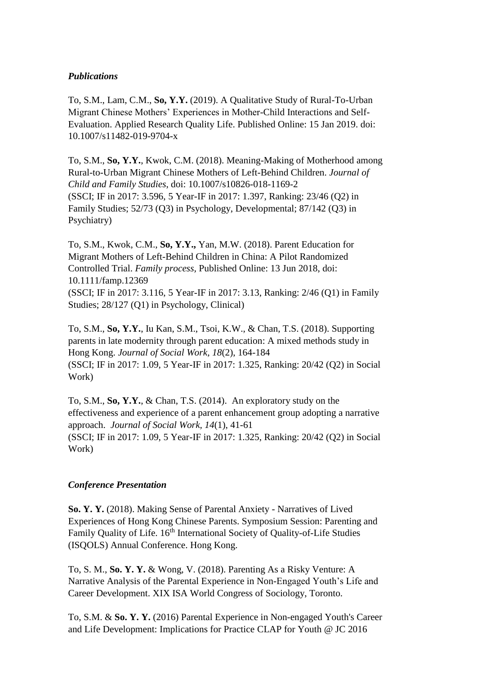## *Publications*

To, S.M., Lam, C.M., **So, Y.Y.** (2019). A Qualitative Study of Rural-To-Urban Migrant Chinese Mothers' Experiences in Mother-Child Interactions and Self-Evaluation. Applied Research Quality Life. Published Online: 15 Jan 2019. doi: 10.1007/s11482-019-9704-x

To, S.M., **So, Y.Y.**, Kwok, C.M. (2018). Meaning-Making of Motherhood among Rural-to-Urban Migrant Chinese Mothers of Left-Behind Children. *Journal of Child and Family Studies*, doi: 10.1007/s10826-018-1169-2 (SSCI; IF in 2017: 3.596, 5 Year-IF in 2017: 1.397, Ranking: 23/46 (Q2) in Family Studies; 52/73 (Q3) in Psychology, Developmental; 87/142 (Q3) in Psychiatry)

To, S.M., Kwok, C.M., **So, Y.Y.,** Yan, M.W. (2018). Parent Education for Migrant Mothers of Left-Behind Children in China: A Pilot Randomized Controlled Trial. *Family process,* Published Online: 13 Jun 2018, doi: 10.1111/famp.12369

(SSCI; IF in 2017: 3.116, 5 Year-IF in 2017: 3.13, Ranking: 2/46 (Q1) in Family Studies; 28/127 (Q1) in Psychology, Clinical)

To, S.M., **So, Y.Y.**, Iu Kan, S.M., Tsoi, K.W., & Chan, T.S. (2018). Supporting parents in late modernity through parent education: A mixed methods study in Hong Kong. *Journal of Social Work, 18*(2), 164-184 (SSCI; IF in 2017: 1.09, 5 Year-IF in 2017: 1.325, Ranking: 20/42 (Q2) in Social Work)

To, S.M., **So, Y.Y.**, & Chan, T.S. (2014). An exploratory study on the effectiveness and experience of a parent enhancement group adopting a narrative approach. *Journal of Social Work, 14*(1), 41-61 (SSCI; IF in 2017: 1.09, 5 Year-IF in 2017: 1.325, Ranking: 20/42 (Q2) in Social Work)

#### *Conference Presentation*

**So. Y. Y.** (2018). Making Sense of Parental Anxiety - Narratives of Lived Experiences of Hong Kong Chinese Parents. Symposium Session: Parenting and Family Quality of Life. 16<sup>th</sup> International Society of Quality-of-Life Studies (ISQOLS) Annual Conference. Hong Kong.

To, S. M., **So. Y. Y.** & Wong, V. (2018). Parenting As a Risky Venture: A Narrative Analysis of the Parental Experience in Non-Engaged Youth's Life and Career Development. XIX ISA World Congress of Sociology, Toronto.

To, S.M. & **So. Y. Y.** (2016) Parental Experience in Non-engaged Youth's Career and Life Development: Implications for Practice CLAP for Youth @ JC 2016